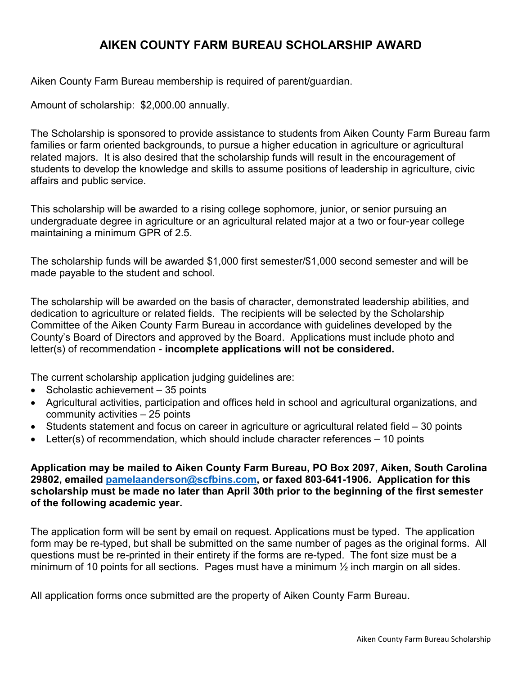## **AIKEN COUNTY FARM BUREAU SCHOLARSHIP AWARD**

Aiken County Farm Bureau membership is required of parent/guardian.

Amount of scholarship: \$2,000.00 annually.

The Scholarship is sponsored to provide assistance to students from Aiken County Farm Bureau farm families or farm oriented backgrounds, to pursue a higher education in agriculture or agricultural related majors. It is also desired that the scholarship funds will result in the encouragement of students to develop the knowledge and skills to assume positions of leadership in agriculture, civic affairs and public service.

This scholarship will be awarded to a rising college sophomore, junior, or senior pursuing an undergraduate degree in agriculture or an agricultural related major at a two or four-year college maintaining a minimum GPR of 2.5.

The scholarship funds will be awarded \$1,000 first semester/\$1,000 second semester and will be made payable to the student and school.

The scholarship will be awarded on the basis of character, demonstrated leadership abilities, and dedication to agriculture or related fields. The recipients will be selected by the Scholarship Committee of the Aiken County Farm Bureau in accordance with guidelines developed by the County's Board of Directors and approved by the Board. Applications must include photo and letter(s) of recommendation - **incomplete applications will not be considered.**

The current scholarship application judging guidelines are:

- Scholastic achievement 35 points
- Agricultural activities, participation and offices held in school and agricultural organizations, and community activities – 25 points
- Students statement and focus on career in agriculture or agricultural related field 30 points
- Letter(s) of recommendation, which should include character references 10 points

**Application may be mailed to Aiken County Farm Bureau, PO Box 2097, Aiken, South Carolina 29802, emailed [pamelaanderson@scfbins.com,](mailto:pamelaanderson@scfbins.com) or faxed 803-641-1906. Application for this scholarship must be made no later than April 30th prior to the beginning of the first semester of the following academic year.** 

The application form will be sent by email on request. Applications must be typed. The application form may be re-typed, but shall be submitted on the same number of pages as the original forms. All questions must be re-printed in their entirety if the forms are re-typed. The font size must be a minimum of 10 points for all sections. Pages must have a minimum  $\frac{1}{2}$  inch margin on all sides.

All application forms once submitted are the property of Aiken County Farm Bureau.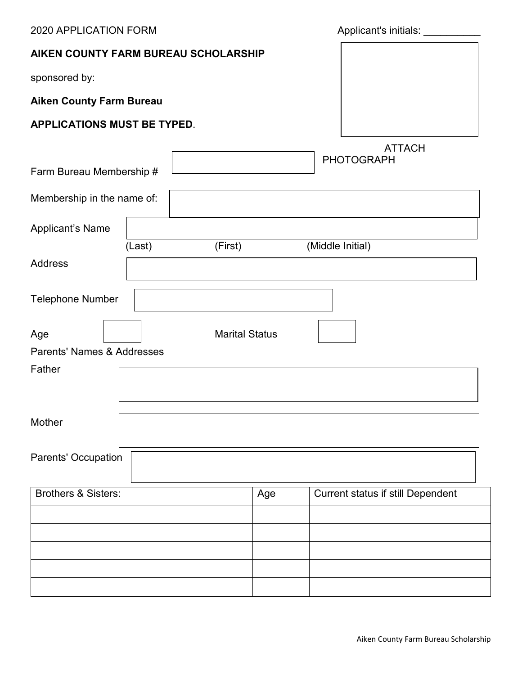2020 APPLICATION FORM **Applicant's initials:** Applicant's initials: **AIKEN COUNTY FARM BUREAU SCHOLARSHIP** sponsored by: **Aiken County Farm Bureau APPLICATIONS MUST BE TYPED**. ATTACH PHOTOGRAPH Farm Bureau Membership # Membership in the name of: Applicant's Name (Last) (First) (Middle Initial) **Address** Telephone Number Age and Age and Age and Age and Age and Age and Age and Age and Age and Age and Age and Age and Age and Age and Age and Age and Age and Age and Age and Age and Age and Age and Age and Age and Age and Age and Age and Age an Parents' Names & Addresses Father **Mother** Parents' Occupation Brothers & Sisters: Age Current status if still Dependent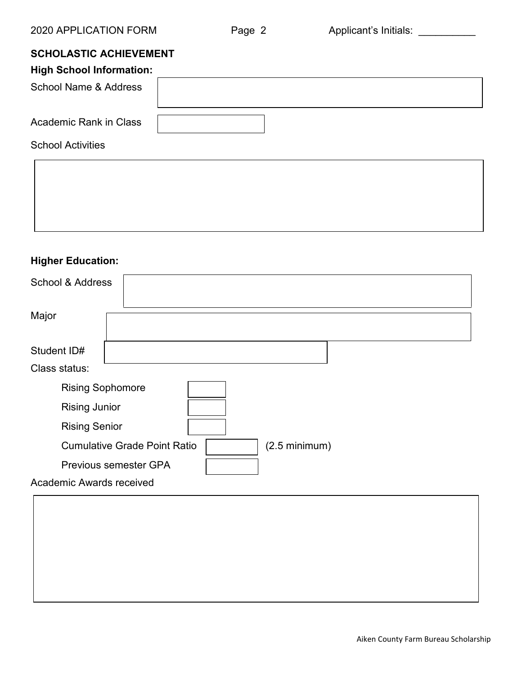# **SCHOLASTIC ACHIEVEMENT**

| <b>High School Information:</b>  |  |
|----------------------------------|--|
| <b>School Name &amp; Address</b> |  |
| <b>Academic Rank in Class</b>    |  |
| <b>School Activities</b>         |  |
|                                  |  |

## **Higher Education:**

| <b>School &amp; Address</b>                                    |  |  |
|----------------------------------------------------------------|--|--|
| Major                                                          |  |  |
| Student ID#                                                    |  |  |
| Class status:                                                  |  |  |
| <b>Rising Sophomore</b>                                        |  |  |
| <b>Rising Junior</b>                                           |  |  |
| <b>Rising Senior</b>                                           |  |  |
| <b>Cumulative Grade Point Ratio</b><br>$(2.5 \text{ minimum})$ |  |  |
| <b>Previous semester GPA</b>                                   |  |  |
| Academic Awards received                                       |  |  |
|                                                                |  |  |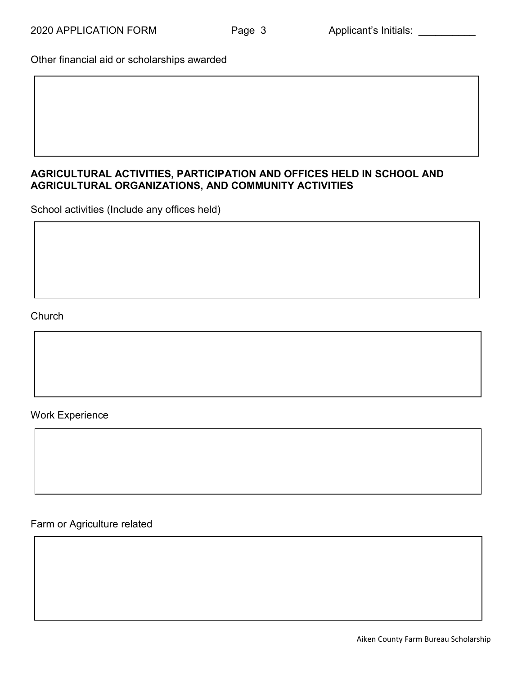Other financial aid or scholarships awarded

### **AGRICULTURAL ACTIVITIES, PARTICIPATION AND OFFICES HELD IN SCHOOL AND AGRICULTURAL ORGANIZATIONS, AND COMMUNITY ACTIVITIES**

School activities (Include any offices held)

### **Church**

#### Work Experience

Farm or Agriculture related